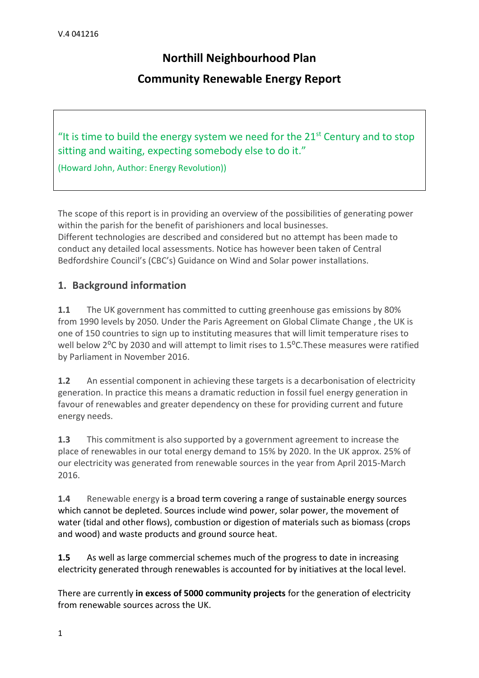# **Northill Neighbourhood Plan**

# **Community Renewable Energy Report**

"It is time to build the energy system we need for the  $21<sup>st</sup>$  Century and to stop sitting and waiting, expecting somebody else to do it."

(Howard John, Author: Energy Revolution))

The scope of this report is in providing an overview of the possibilities of generating power within the parish for the benefit of parishioners and local businesses. Different technologies are described and considered but no attempt has been made to conduct any detailed local assessments. Notice has however been taken of Central Bedfordshire Council's (CBC's) Guidance on Wind and Solar power installations.

#### **1. Background information**

**1.1** The UK government has committed to cutting greenhouse gas emissions by 80% from 1990 levels by 2050. Under the Paris Agreement on Global Climate Change , the UK is one of 150 countries to sign up to instituting measures that will limit temperature rises to well below 2<sup>o</sup>C by 2030 and will attempt to limit rises to 1.5<sup>o</sup>C. These measures were ratified by Parliament in November 2016.

**1.2** An essential component in achieving these targets is a decarbonisation of electricity generation. In practice this means a dramatic reduction in fossil fuel energy generation in favour of renewables and greater dependency on these for providing current and future energy needs.

**1.3** This commitment is also supported by a government agreement to increase the place of renewables in our total energy demand to 15% by 2020. In the UK approx. 25% of our electricity was generated from renewable sources in the year from April 2015-March 2016.

**1.4** Renewable energy is a broad term covering a range of sustainable energy sources which cannot be depleted. Sources include wind power, solar power, the movement of water (tidal and other flows), combustion or digestion of materials such as biomass (crops and wood) and waste products and ground source heat.

**1.5** As well as large commercial schemes much of the progress to date in increasing electricity generated through renewables is accounted for by initiatives at the local level.

There are currently **in excess of 5000 community projects** for the generation of electricity from renewable sources across the UK.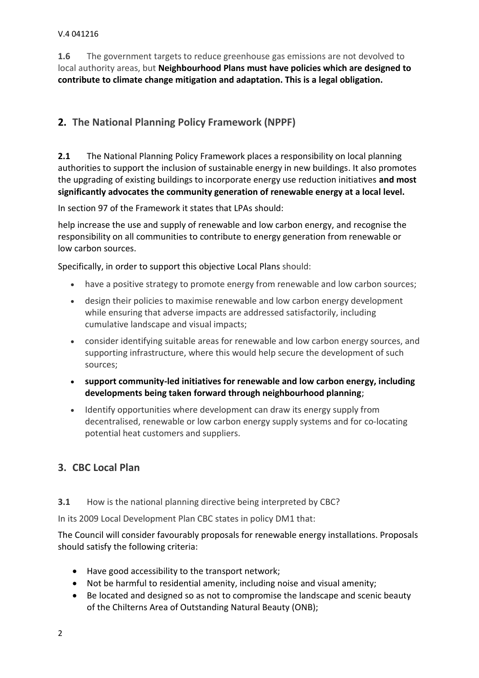#### V.4 041216

**1.6** The government targets to reduce greenhouse gas emissions are not devolved to local authority areas, but **Neighbourhood Plans must have policies which are designed to contribute to climate change mitigation and adaptation. This is a legal obligation.** 

# **2. The National Planning Policy Framework (NPPF)**

**2.1** The National Planning Policy Framework places a responsibility on local planning authorities to support the inclusion of sustainable energy in new buildings. It also promotes the upgrading of existing buildings to incorporate energy use reduction initiatives **and most significantly advocates the community generation of renewable energy at a local level.**

In section 97 of the Framework it states that LPAs should:

help increase the use and supply of renewable and low carbon energy, and recognise the responsibility on all communities to contribute to energy generation from renewable or low carbon sources.

Specifically, in order to support this objective Local Plans should:

- have a positive strategy to promote energy from renewable and low carbon sources;
- design their policies to maximise renewable and low carbon energy development while ensuring that adverse impacts are addressed satisfactorily, including cumulative landscape and visual impacts;
- consider identifying suitable areas for renewable and low carbon energy sources, and supporting infrastructure, where this would help secure the development of such sources;
- **support community-led initiatives for renewable and low carbon energy, including developments being taken forward through neighbourhood planning**;
- Identify opportunities where development can draw its energy supply from decentralised, renewable or low carbon energy supply systems and for co-locating potential heat customers and suppliers.

# **3. CBC Local Plan**

#### **3.1** How is the national planning directive being interpreted by CBC?

In its 2009 Local Development Plan CBC states in policy DM1 that:

The Council will consider favourably proposals for renewable energy installations. Proposals should satisfy the following criteria:

- Have good accessibility to the transport network;
- Not be harmful to residential amenity, including noise and visual amenity;
- Be located and designed so as not to compromise the landscape and scenic beauty of the Chilterns Area of Outstanding Natural Beauty (ONB);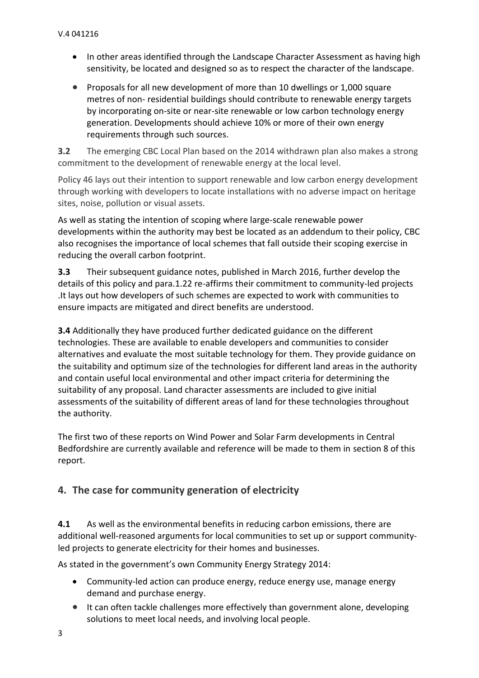- In other areas identified through the Landscape Character Assessment as having high sensitivity, be located and designed so as to respect the character of the landscape.
- Proposals for all new development of more than 10 dwellings or 1,000 square metres of non- residential buildings should contribute to renewable energy targets by incorporating on-site or near-site renewable or low carbon technology energy generation. Developments should achieve 10% or more of their own energy requirements through such sources.

**3.2** The emerging CBC Local Plan based on the 2014 withdrawn plan also makes a strong commitment to the development of renewable energy at the local level.

Policy 46 lays out their intention to support renewable and low carbon energy development through working with developers to locate installations with no adverse impact on heritage sites, noise, pollution or visual assets.

As well as stating the intention of scoping where large-scale renewable power developments within the authority may best be located as an addendum to their policy, CBC also recognises the importance of local schemes that fall outside their scoping exercise in reducing the overall carbon footprint.

**3.3** Their subsequent guidance notes, published in March 2016, further develop the details of this policy and para.1.22 re-affirms their commitment to community-led projects .It lays out how developers of such schemes are expected to work with communities to ensure impacts are mitigated and direct benefits are understood.

**3.4** Additionally they have produced further dedicated guidance on the different technologies. These are available to enable developers and communities to consider alternatives and evaluate the most suitable technology for them. They provide guidance on the suitability and optimum size of the technologies for different land areas in the authority and contain useful local environmental and other impact criteria for determining the suitability of any proposal. Land character assessments are included to give initial assessments of the suitability of different areas of land for these technologies throughout the authority.

The first two of these reports on Wind Power and Solar Farm developments in Central Bedfordshire are currently available and reference will be made to them in section 8 of this report.

#### **4. The case for community generation of electricity**

**4.1** As well as the environmental benefits in reducing carbon emissions, there are additional well-reasoned arguments for local communities to set up or support communityled projects to generate electricity for their homes and businesses.

As stated in the government's own Community Energy Strategy 2014:

- Community-led action can produce energy, reduce energy use, manage energy demand and purchase energy.
- It can often tackle challenges more effectively than government alone, developing solutions to meet local needs, and involving local people.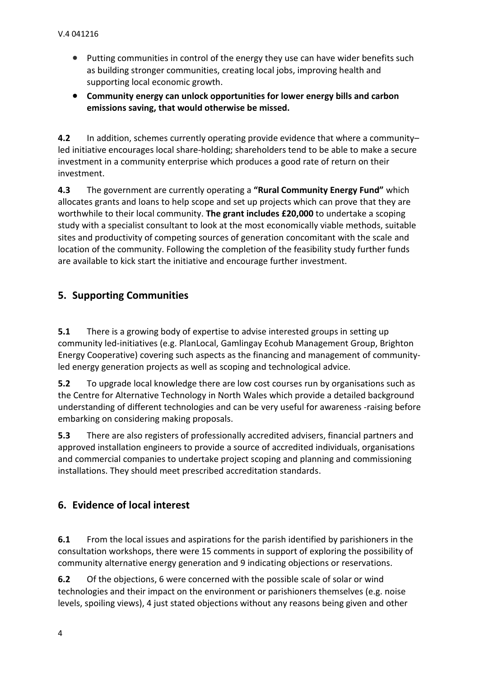- Putting communities in control of the energy they use can have wider benefits such as building stronger communities, creating local jobs, improving health and supporting local economic growth.
- **Community energy can unlock opportunities for lower energy bills and carbon emissions saving, that would otherwise be missed.**

**4.2** In addition, schemes currently operating provide evidence that where a community– led initiative encourages local share-holding; shareholders tend to be able to make a secure investment in a community enterprise which produces a good rate of return on their investment.

**4.3** The government are currently operating a **"Rural Community Energy Fund"** which allocates grants and loans to help scope and set up projects which can prove that they are worthwhile to their local community. **The grant includes £20,000** to undertake a scoping study with a specialist consultant to look at the most economically viable methods, suitable sites and productivity of competing sources of generation concomitant with the scale and location of the community. Following the completion of the feasibility study further funds are available to kick start the initiative and encourage further investment.

# **5. Supporting Communities**

**5.1** There is a growing body of expertise to advise interested groups in setting up community led-initiatives (e.g. PlanLocal, Gamlingay Ecohub Management Group, Brighton Energy Cooperative) covering such aspects as the financing and management of communityled energy generation projects as well as scoping and technological advice.

**5.2** To upgrade local knowledge there are low cost courses run by organisations such as the Centre for Alternative Technology in North Wales which provide a detailed background understanding of different technologies and can be very useful for awareness -raising before embarking on considering making proposals.

**5.3** There are also registers of professionally accredited advisers, financial partners and approved installation engineers to provide a source of accredited individuals, organisations and commercial companies to undertake project scoping and planning and commissioning installations. They should meet prescribed accreditation standards.

#### **6. Evidence of local interest**

**6.1** From the local issues and aspirations for the parish identified by parishioners in the consultation workshops, there were 15 comments in support of exploring the possibility of community alternative energy generation and 9 indicating objections or reservations.

**6.2** Of the objections, 6 were concerned with the possible scale of solar or wind technologies and their impact on the environment or parishioners themselves (e.g. noise levels, spoiling views), 4 just stated objections without any reasons being given and other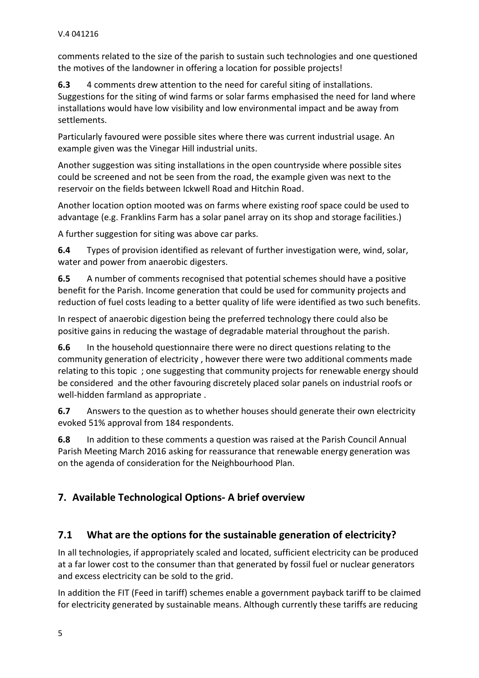comments related to the size of the parish to sustain such technologies and one questioned the motives of the landowner in offering a location for possible projects!

**6.3** 4 comments drew attention to the need for careful siting of installations. Suggestions for the siting of wind farms or solar farms emphasised the need for land where installations would have low visibility and low environmental impact and be away from settlements.

Particularly favoured were possible sites where there was current industrial usage. An example given was the Vinegar Hill industrial units.

Another suggestion was siting installations in the open countryside where possible sites could be screened and not be seen from the road, the example given was next to the reservoir on the fields between Ickwell Road and Hitchin Road.

Another location option mooted was on farms where existing roof space could be used to advantage (e.g. Franklins Farm has a solar panel array on its shop and storage facilities.)

A further suggestion for siting was above car parks.

**6.4** Types of provision identified as relevant of further investigation were, wind, solar, water and power from anaerobic digesters.

**6.5** A number of comments recognised that potential schemes should have a positive benefit for the Parish. Income generation that could be used for community projects and reduction of fuel costs leading to a better quality of life were identified as two such benefits.

In respect of anaerobic digestion being the preferred technology there could also be positive gains in reducing the wastage of degradable material throughout the parish.

**6.6** In the household questionnaire there were no direct questions relating to the community generation of electricity , however there were two additional comments made relating to this topic ; one suggesting that community projects for renewable energy should be considered and the other favouring discretely placed solar panels on industrial roofs or well-hidden farmland as appropriate .

**6.7** Answers to the question as to whether houses should generate their own electricity evoked 51% approval from 184 respondents.

**6.8** In addition to these comments a question was raised at the Parish Council Annual Parish Meeting March 2016 asking for reassurance that renewable energy generation was on the agenda of consideration for the Neighbourhood Plan.

# **7. Available Technological Options- A brief overview**

# **7.1 What are the options for the sustainable generation of electricity?**

In all technologies, if appropriately scaled and located, sufficient electricity can be produced at a far lower cost to the consumer than that generated by fossil fuel or nuclear generators and excess electricity can be sold to the grid.

In addition the FIT (Feed in tariff) schemes enable a government payback tariff to be claimed for electricity generated by sustainable means. Although currently these tariffs are reducing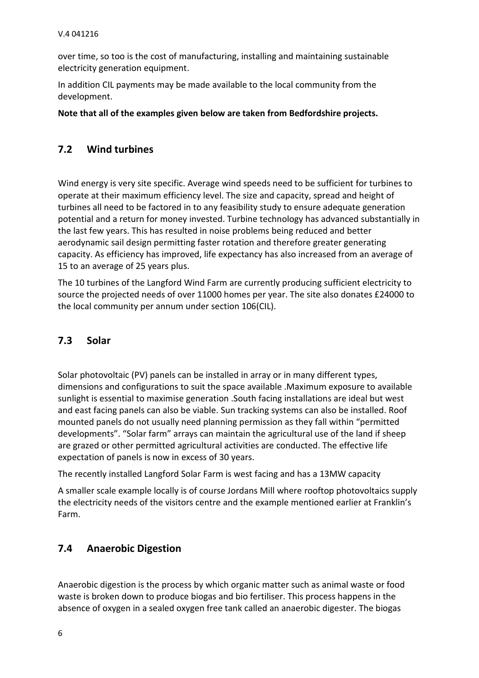over time, so too is the cost of manufacturing, installing and maintaining sustainable electricity generation equipment.

In addition CIL payments may be made available to the local community from the development.

**Note that all of the examples given below are taken from Bedfordshire projects.**

### **7.2 Wind turbines**

Wind energy is very site specific. Average wind speeds need to be sufficient for turbines to operate at their maximum efficiency level. The size and capacity, spread and height of turbines all need to be factored in to any feasibility study to ensure adequate generation potential and a return for money invested. Turbine technology has advanced substantially in the last few years. This has resulted in noise problems being reduced and better aerodynamic sail design permitting faster rotation and therefore greater generating capacity. As efficiency has improved, life expectancy has also increased from an average of 15 to an average of 25 years plus.

The 10 turbines of the Langford Wind Farm are currently producing sufficient electricity to source the projected needs of over 11000 homes per year. The site also donates £24000 to the local community per annum under section 106(CIL).

## **7.3 Solar**

Solar photovoltaic (PV) panels can be installed in array or in many different types, dimensions and configurations to suit the space available .Maximum exposure to available sunlight is essential to maximise generation .South facing installations are ideal but west and east facing panels can also be viable. Sun tracking systems can also be installed. Roof mounted panels do not usually need planning permission as they fall within "permitted developments". "Solar farm" arrays can maintain the agricultural use of the land if sheep are grazed or other permitted agricultural activities are conducted. The effective life expectation of panels is now in excess of 30 years.

The recently installed Langford Solar Farm is west facing and has a 13MW capacity

A smaller scale example locally is of course Jordans Mill where rooftop photovoltaics supply the electricity needs of the visitors centre and the example mentioned earlier at Franklin's Farm.

#### **7.4 Anaerobic Digestion**

Anaerobic digestion is the process by which organic matter such as animal waste or food waste is broken down to produce biogas and bio fertiliser. This process happens in the absence of oxygen in a sealed oxygen free tank called an anaerobic digester. The biogas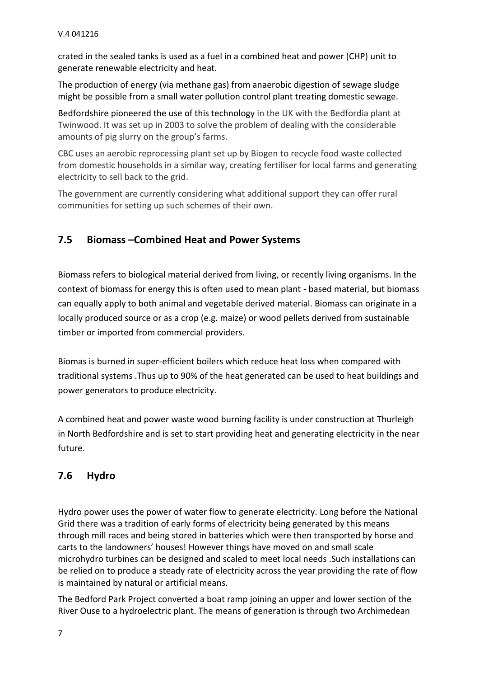crated in the sealed tanks is used as a fuel in a combined heat and power (CHP) unit to generate renewable electricity and heat.

The production of energy (via methane gas) from anaerobic digestion of sewage sludge might be possible from a small water pollution control plant treating domestic sewage.

Bedfordshire pioneered the use of this technology in the UK with the Bedfordia plant at Twinwood. It was set up in 2003 to solve the problem of dealing with the considerable amounts of pig slurry on the group's farms.

CBC uses an aerobic reprocessing plant set up by Biogen to recycle food waste collected from domestic households in a similar way, creating fertiliser for local farms and generating electricity to sell back to the grid.

The government are currently considering what additional support they can offer rural communities for setting up such schemes of their own.

# **7.5 Biomass –Combined Heat and Power Systems**

Biomass refers to biological material derived from living, or recently living organisms. In the context of biomass for energy this is often used to mean plant - based material, but biomass can equally apply to both animal and vegetable derived material. Biomass can originate in a locally produced source or as a crop (e.g. maize) or wood pellets derived from sustainable timber or imported from commercial providers.

Biomas is burned in super-efficient boilers which reduce heat loss when compared with traditional systems .Thus up to 90% of the heat generated can be used to heat buildings and power generators to produce electricity.

A combined heat and power waste wood burning facility is under construction at Thurleigh in North Bedfordshire and is set to start providing heat and generating electricity in the near future.

# **7.6 Hydro**

Hydro power uses the power of water flow to generate electricity. Long before the National Grid there was a tradition of early forms of electricity being generated by this means through mill races and being stored in batteries which were then transported by horse and carts to the landowners' houses! However things have moved on and small scale microhydro turbines can be designed and scaled to meet local needs .Such installations can be relied on to produce a steady rate of electricity across the year providing the rate of flow is maintained by natural or artificial means.

The Bedford Park Project converted a boat ramp joining an upper and lower section of the River Ouse to a hydroelectric plant. The means of generation is through two Archimedean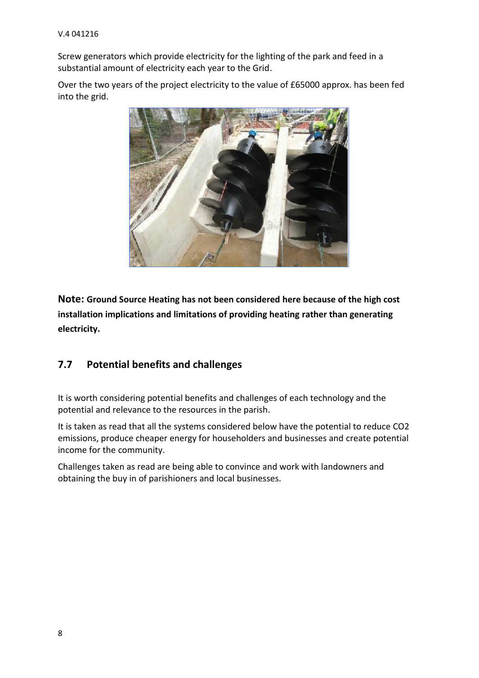Screw generators which provide electricity for the lighting of the park and feed in a substantial amount of electricity each year to the Grid.

Over the two years of the project electricity to the value of £65000 approx. has been fed into the grid.



**Note: Ground Source Heating has not been considered here because of the high cost installation implications and limitations of providing heating rather than generating electricity.**

#### **7.7 Potential benefits and challenges**

It is worth considering potential benefits and challenges of each technology and the potential and relevance to the resources in the parish.

It is taken as read that all the systems considered below have the potential to reduce CO2 emissions, produce cheaper energy for householders and businesses and create potential income for the community.

Challenges taken as read are being able to convince and work with landowners and obtaining the buy in of parishioners and local businesses.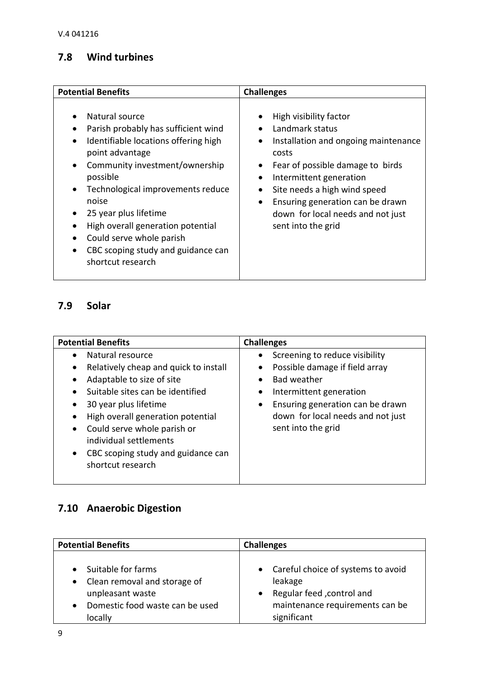## **7.8 Wind turbines**

| <b>Potential Benefits</b>            | <b>Challenges</b>                    |
|--------------------------------------|--------------------------------------|
| Natural source                       | High visibility factor               |
| Parish probably has sufficient wind  | $\bullet$                            |
| Identifiable locations offering high | Landmark status                      |
|                                      | $\bullet$                            |
| point advantage                      | Installation and ongoing maintenance |
| Community investment/ownership       | $\bullet$                            |
| $\bullet$                            | costs                                |
| possible                             | Fear of possible damage to birds     |
| Technological improvements reduce    | ٠                                    |
| $\bullet$                            | Intermittent generation              |
| noise                                | $\bullet$                            |
| 25 year plus lifetime                | Site needs a high wind speed         |
| High overall generation potential    | $\bullet$                            |
| Could serve whole parish             | Ensuring generation can be drawn     |
| CBC scoping study and guidance can   | $\bullet$                            |
| $\bullet$                            | down for local needs and not just    |
| shortcut research                    | sent into the grid                   |

## **7.9 Solar**

| <b>Potential Benefits</b>                                                                                                                                                                                                                                                                                                                                                                                            | <b>Challenges</b>                                                                                                                                                                                                                                       |
|----------------------------------------------------------------------------------------------------------------------------------------------------------------------------------------------------------------------------------------------------------------------------------------------------------------------------------------------------------------------------------------------------------------------|---------------------------------------------------------------------------------------------------------------------------------------------------------------------------------------------------------------------------------------------------------|
| Natural resource<br>$\bullet$<br>Relatively cheap and quick to install<br>$\bullet$<br>Adaptable to size of site<br>$\bullet$<br>Suitable sites can be identified<br>$\bullet$<br>30 year plus lifetime<br>$\bullet$<br>High overall generation potential<br>$\bullet$<br>Could serve whole parish or<br>$\bullet$<br>individual settlements<br>CBC scoping study and guidance can<br>$\bullet$<br>shortcut research | Screening to reduce visibility<br>$\bullet$<br>Possible damage if field array<br><b>Bad weather</b><br>Intermittent generation<br>$\bullet$<br>Ensuring generation can be drawn<br>$\bullet$<br>down for local needs and not just<br>sent into the grid |

# **7.10 Anaerobic Digestion**

| <b>Potential Benefits</b>       | <b>Challenges</b>                    |
|---------------------------------|--------------------------------------|
| Suitable for farms              | • Careful choice of systems to avoid |
| Clean removal and storage of    | leakage                              |
| $\bullet$                       | Regular feed , control and           |
| unpleasant waste                | $\bullet$                            |
| Domestic food waste can be used | maintenance requirements can be      |
| locally                         | significant                          |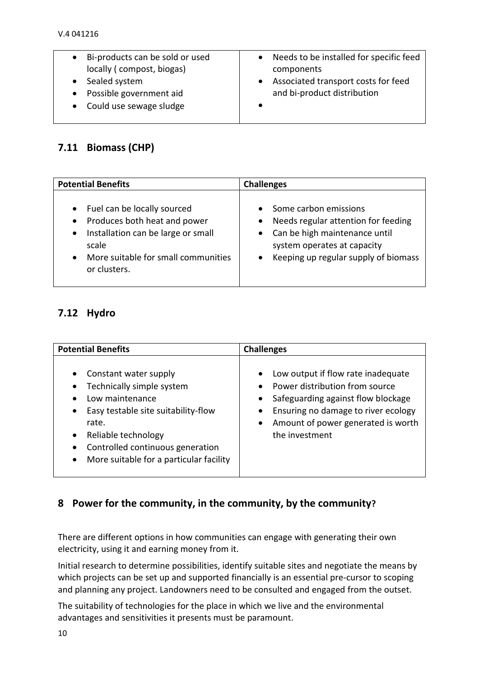| Bi-products can be sold or used | Needs to be installed for specific feed |
|---------------------------------|-----------------------------------------|
| locally (compost, biogas)       | components                              |
| Sealed system                   | Associated transport costs for feed     |
| Possible government aid         | and bi-product distribution             |
| Could use sewage sludge         |                                         |
|                                 |                                         |

### **7.11 Biomass (CHP)**

| <b>Potential Benefits</b>                                                                                                                                                                   | <b>Challenges</b>                                                                                                                                                      |  |
|---------------------------------------------------------------------------------------------------------------------------------------------------------------------------------------------|------------------------------------------------------------------------------------------------------------------------------------------------------------------------|--|
| Fuel can be locally sourced<br>Produces both heat and power<br>$\bullet$<br>Installation can be large or small<br>$\bullet$<br>scale<br>More suitable for small communities<br>or clusters. | Some carbon emissions<br>Needs regular attention for feeding<br>• Can be high maintenance until<br>system operates at capacity<br>Keeping up regular supply of biomass |  |

# **7.12 Hydro**

| <b>Potential Benefits</b>                                                                                                                                                                                                                                                                                 | <b>Challenges</b>                                                                                                                                                                                                                             |
|-----------------------------------------------------------------------------------------------------------------------------------------------------------------------------------------------------------------------------------------------------------------------------------------------------------|-----------------------------------------------------------------------------------------------------------------------------------------------------------------------------------------------------------------------------------------------|
| Constant water supply<br>$\bullet$<br>Technically simple system<br>$\bullet$<br>Low maintenance<br>Easy testable site suitability-flow<br>$\bullet$<br>rate.<br>Reliable technology<br>$\bullet$<br>Controlled continuous generation<br>$\bullet$<br>More suitable for a particular facility<br>$\bullet$ | Low output if flow rate inadequate<br>$\bullet$<br>Power distribution from source<br>Safeguarding against flow blockage<br>٠<br>Ensuring no damage to river ecology<br>٠<br>Amount of power generated is worth<br>$\bullet$<br>the investment |

#### **8 Power for the community, in the community, by the community?**

There are different options in how communities can engage with generating their own electricity, using it and earning money from it.

Initial research to determine possibilities, identify suitable sites and negotiate the means by which projects can be set up and supported financially is an essential pre-cursor to scoping and planning any project. Landowners need to be consulted and engaged from the outset.

The suitability of technologies for the place in which we live and the environmental advantages and sensitivities it presents must be paramount.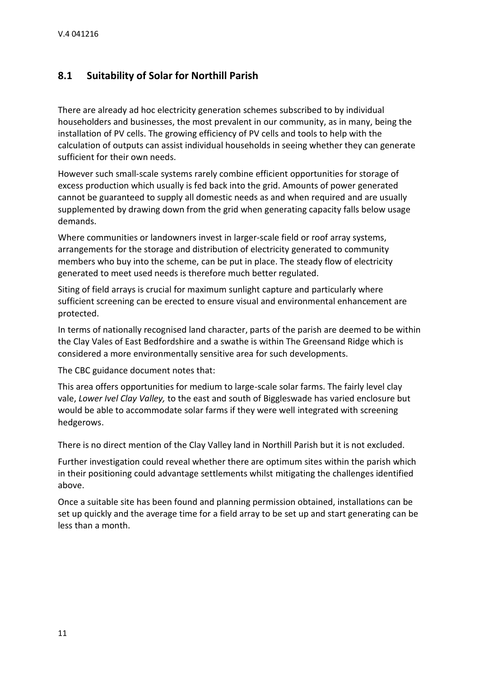#### **8.1 Suitability of Solar for Northill Parish**

There are already ad hoc electricity generation schemes subscribed to by individual householders and businesses, the most prevalent in our community, as in many, being the installation of PV cells. The growing efficiency of PV cells and tools to help with the calculation of outputs can assist individual households in seeing whether they can generate sufficient for their own needs.

However such small-scale systems rarely combine efficient opportunities for storage of excess production which usually is fed back into the grid. Amounts of power generated cannot be guaranteed to supply all domestic needs as and when required and are usually supplemented by drawing down from the grid when generating capacity falls below usage demands.

Where communities or landowners invest in larger-scale field or roof array systems, arrangements for the storage and distribution of electricity generated to community members who buy into the scheme, can be put in place. The steady flow of electricity generated to meet used needs is therefore much better regulated.

Siting of field arrays is crucial for maximum sunlight capture and particularly where sufficient screening can be erected to ensure visual and environmental enhancement are protected.

In terms of nationally recognised land character, parts of the parish are deemed to be within the Clay Vales of East Bedfordshire and a swathe is within The Greensand Ridge which is considered a more environmentally sensitive area for such developments.

The CBC guidance document notes that:

This area offers opportunities for medium to large-scale solar farms. The fairly level clay vale, *Lower Ivel Clay Valley,* to the east and south of Biggleswade has varied enclosure but would be able to accommodate solar farms if they were well integrated with screening hedgerows.

There is no direct mention of the Clay Valley land in Northill Parish but it is not excluded.

Further investigation could reveal whether there are optimum sites within the parish which in their positioning could advantage settlements whilst mitigating the challenges identified above.

Once a suitable site has been found and planning permission obtained, installations can be set up quickly and the average time for a field array to be set up and start generating can be less than a month.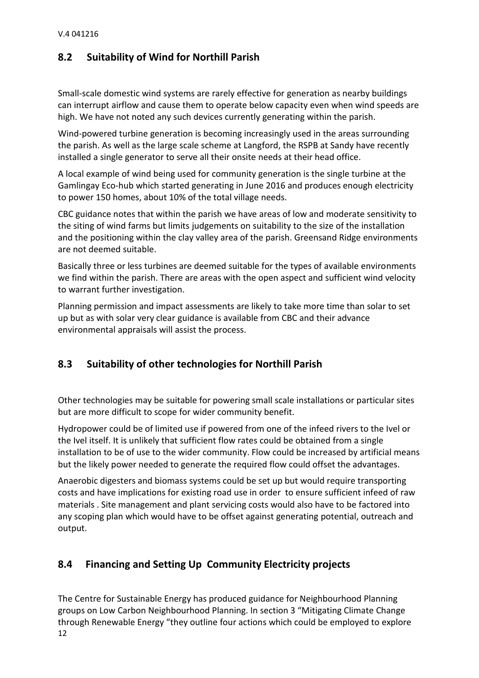### **8.2 Suitability of Wind for Northill Parish**

Small-scale domestic wind systems are rarely effective for generation as nearby buildings can interrupt airflow and cause them to operate below capacity even when wind speeds are high. We have not noted any such devices currently generating within the parish.

Wind-powered turbine generation is becoming increasingly used in the areas surrounding the parish. As well as the large scale scheme at Langford, the RSPB at Sandy have recently installed a single generator to serve all their onsite needs at their head office.

A local example of wind being used for community generation is the single turbine at the Gamlingay Eco-hub which started generating in June 2016 and produces enough electricity to power 150 homes, about 10% of the total village needs.

CBC guidance notes that within the parish we have areas of low and moderate sensitivity to the siting of wind farms but limits judgements on suitability to the size of the installation and the positioning within the clay valley area of the parish. Greensand Ridge environments are not deemed suitable.

Basically three or less turbines are deemed suitable for the types of available environments we find within the parish. There are areas with the open aspect and sufficient wind velocity to warrant further investigation.

Planning permission and impact assessments are likely to take more time than solar to set up but as with solar very clear guidance is available from CBC and their advance environmental appraisals will assist the process.

# **8.3 Suitability of other technologies for Northill Parish**

Other technologies may be suitable for powering small scale installations or particular sites but are more difficult to scope for wider community benefit.

Hydropower could be of limited use if powered from one of the infeed rivers to the Ivel or the Ivel itself. It is unlikely that sufficient flow rates could be obtained from a single installation to be of use to the wider community. Flow could be increased by artificial means but the likely power needed to generate the required flow could offset the advantages.

Anaerobic digesters and biomass systems could be set up but would require transporting costs and have implications for existing road use in order to ensure sufficient infeed of raw materials . Site management and plant servicing costs would also have to be factored into any scoping plan which would have to be offset against generating potential, outreach and output.

# **8.4 Financing and Setting Up Community Electricity projects**

12 The Centre for Sustainable Energy has produced guidance for Neighbourhood Planning groups on Low Carbon Neighbourhood Planning. In section 3 "Mitigating Climate Change through Renewable Energy "they outline four actions which could be employed to explore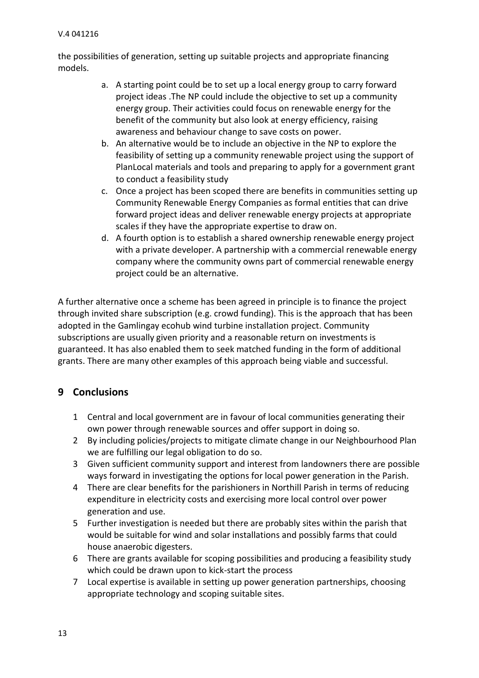the possibilities of generation, setting up suitable projects and appropriate financing models.

- a. A starting point could be to set up a local energy group to carry forward project ideas .The NP could include the objective to set up a community energy group. Their activities could focus on renewable energy for the benefit of the community but also look at energy efficiency, raising awareness and behaviour change to save costs on power.
- b. An alternative would be to include an objective in the NP to explore the feasibility of setting up a community renewable project using the support of PlanLocal materials and tools and preparing to apply for a government grant to conduct a feasibility study
- c. Once a project has been scoped there are benefits in communities setting up Community Renewable Energy Companies as formal entities that can drive forward project ideas and deliver renewable energy projects at appropriate scales if they have the appropriate expertise to draw on.
- d. A fourth option is to establish a shared ownership renewable energy project with a private developer. A partnership with a commercial renewable energy company where the community owns part of commercial renewable energy project could be an alternative.

A further alternative once a scheme has been agreed in principle is to finance the project through invited share subscription (e.g. crowd funding). This is the approach that has been adopted in the Gamlingay ecohub wind turbine installation project. Community subscriptions are usually given priority and a reasonable return on investments is guaranteed. It has also enabled them to seek matched funding in the form of additional grants. There are many other examples of this approach being viable and successful.

#### **9 Conclusions**

- 1 Central and local government are in favour of local communities generating their own power through renewable sources and offer support in doing so.
- 2 By including policies/projects to mitigate climate change in our Neighbourhood Plan we are fulfilling our legal obligation to do so.
- 3 Given sufficient community support and interest from landowners there are possible ways forward in investigating the options for local power generation in the Parish.
- 4 There are clear benefits for the parishioners in Northill Parish in terms of reducing expenditure in electricity costs and exercising more local control over power generation and use.
- 5 Further investigation is needed but there are probably sites within the parish that would be suitable for wind and solar installations and possibly farms that could house anaerobic digesters.
- 6 There are grants available for scoping possibilities and producing a feasibility study which could be drawn upon to kick-start the process
- 7 Local expertise is available in setting up power generation partnerships, choosing appropriate technology and scoping suitable sites.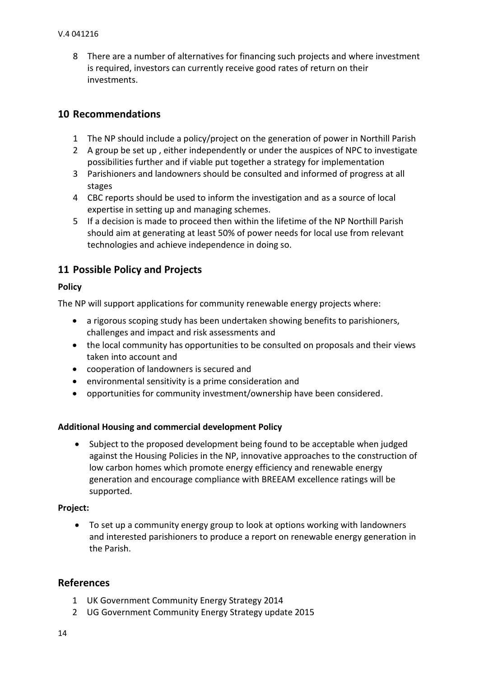8 There are a number of alternatives for financing such projects and where investment is required, investors can currently receive good rates of return on their investments.

#### **10 Recommendations**

- 1 The NP should include a policy/project on the generation of power in Northill Parish
- 2 A group be set up , either independently or under the auspices of NPC to investigate possibilities further and if viable put together a strategy for implementation
- 3 Parishioners and landowners should be consulted and informed of progress at all stages
- 4 CBC reports should be used to inform the investigation and as a source of local expertise in setting up and managing schemes.
- 5 If a decision is made to proceed then within the lifetime of the NP Northill Parish should aim at generating at least 50% of power needs for local use from relevant technologies and achieve independence in doing so.

#### **11 Possible Policy and Projects**

#### **Policy**

The NP will support applications for community renewable energy projects where:

- a rigorous scoping study has been undertaken showing benefits to parishioners, challenges and impact and risk assessments and
- the local community has opportunities to be consulted on proposals and their views taken into account and
- cooperation of landowners is secured and
- environmental sensitivity is a prime consideration and
- opportunities for community investment/ownership have been considered.

#### **Additional Housing and commercial development Policy**

• Subject to the proposed development being found to be acceptable when judged against the Housing Policies in the NP, innovative approaches to the construction of low carbon homes which promote energy efficiency and renewable energy generation and encourage compliance with BREEAM excellence ratings will be supported.

#### **Project:**

 To set up a community energy group to look at options working with landowners and interested parishioners to produce a report on renewable energy generation in the Parish.

#### **References**

- 1 UK Government Community Energy Strategy 2014
- 2 UG Government Community Energy Strategy update 2015